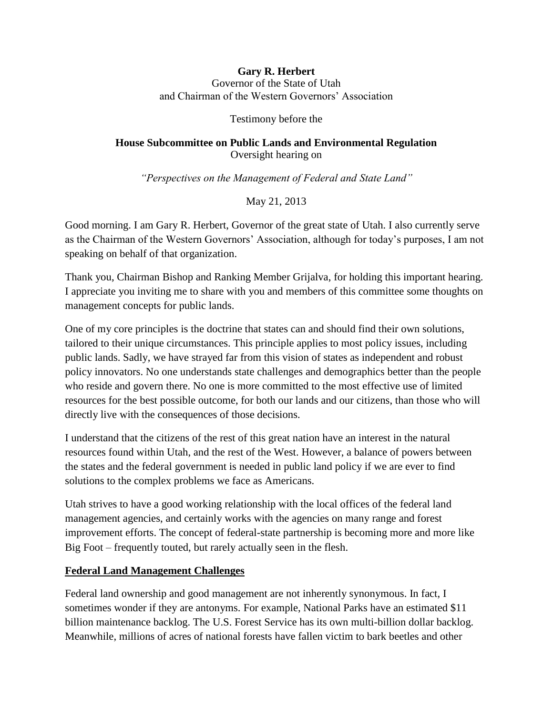#### **Gary R. Herbert** Governor of the State of Utah and Chairman of the Western Governors' Association

Testimony before the

## **House Subcommittee on Public Lands and Environmental Regulation** Oversight hearing on

*"Perspectives on the Management of Federal and State Land"*

May 21, 2013

Good morning. I am Gary R. Herbert, Governor of the great state of Utah. I also currently serve as the Chairman of the Western Governors' Association, although for today's purposes, I am not speaking on behalf of that organization.

Thank you, Chairman Bishop and Ranking Member Grijalva, for holding this important hearing. I appreciate you inviting me to share with you and members of this committee some thoughts on management concepts for public lands.

One of my core principles is the doctrine that states can and should find their own solutions, tailored to their unique circumstances. This principle applies to most policy issues, including public lands. Sadly, we have strayed far from this vision of states as independent and robust policy innovators. No one understands state challenges and demographics better than the people who reside and govern there. No one is more committed to the most effective use of limited resources for the best possible outcome, for both our lands and our citizens, than those who will directly live with the consequences of those decisions.

I understand that the citizens of the rest of this great nation have an interest in the natural resources found within Utah, and the rest of the West. However, a balance of powers between the states and the federal government is needed in public land policy if we are ever to find solutions to the complex problems we face as Americans.

Utah strives to have a good working relationship with the local offices of the federal land management agencies, and certainly works with the agencies on many range and forest improvement efforts. The concept of federal-state partnership is becoming more and more like Big Foot – frequently touted, but rarely actually seen in the flesh.

## **Federal Land Management Challenges**

Federal land ownership and good management are not inherently synonymous. In fact, I sometimes wonder if they are antonyms. For example, National Parks have an estimated \$11 billion maintenance backlog. The U.S. Forest Service has its own multi-billion dollar backlog. Meanwhile, millions of acres of national forests have fallen victim to bark beetles and other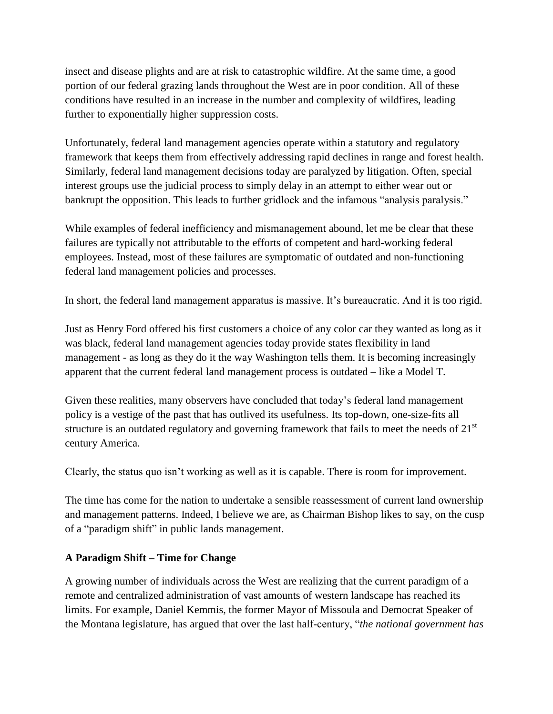insect and disease plights and are at risk to catastrophic wildfire. At the same time, a good portion of our federal grazing lands throughout the West are in poor condition. All of these conditions have resulted in an increase in the number and complexity of wildfires, leading further to exponentially higher suppression costs.

Unfortunately, federal land management agencies operate within a statutory and regulatory framework that keeps them from effectively addressing rapid declines in range and forest health. Similarly, federal land management decisions today are paralyzed by litigation. Often, special interest groups use the judicial process to simply delay in an attempt to either wear out or bankrupt the opposition. This leads to further gridlock and the infamous "analysis paralysis."

While examples of federal inefficiency and mismanagement abound, let me be clear that these failures are typically not attributable to the efforts of competent and hard-working federal employees. Instead, most of these failures are symptomatic of outdated and non-functioning federal land management policies and processes.

In short, the federal land management apparatus is massive. It's bureaucratic. And it is too rigid.

Just as Henry Ford offered his first customers a choice of any color car they wanted as long as it was black, federal land management agencies today provide states flexibility in land management - as long as they do it the way Washington tells them. It is becoming increasingly apparent that the current federal land management process is outdated – like a Model T.

Given these realities, many observers have concluded that today's federal land management policy is a vestige of the past that has outlived its usefulness. Its top-down, one-size-fits all structure is an outdated regulatory and governing framework that fails to meet the needs of  $21<sup>st</sup>$ century America.

Clearly, the status quo isn't working as well as it is capable. There is room for improvement.

The time has come for the nation to undertake a sensible reassessment of current land ownership and management patterns. Indeed, I believe we are, as Chairman Bishop likes to say, on the cusp of a "paradigm shift" in public lands management.

# **A Paradigm Shift – Time for Change**

A growing number of individuals across the West are realizing that the current paradigm of a remote and centralized administration of vast amounts of western landscape has reached its limits. For example, Daniel Kemmis, the former Mayor of Missoula and Democrat Speaker of the Montana legislature, has argued that over the last half-century, "*the national government has*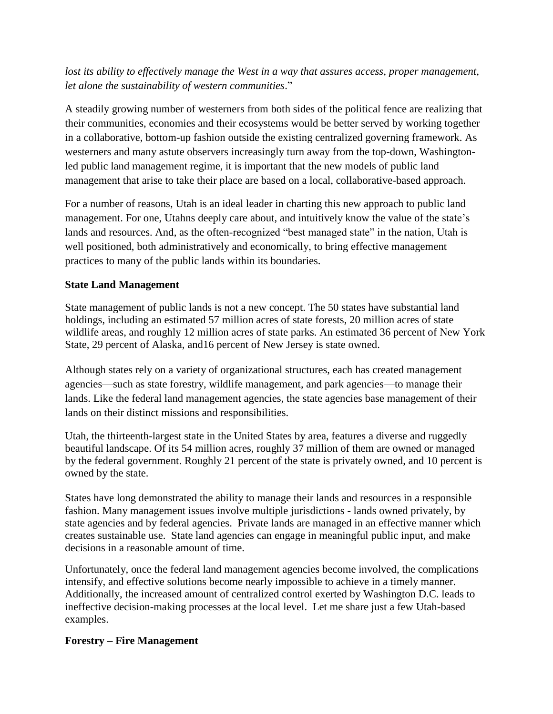lost its ability to effectively manage the West in a way that assures access, proper management, *let alone the sustainability of western communities*."

A steadily growing number of westerners from both sides of the political fence are realizing that their communities, economies and their ecosystems would be better served by working together in a collaborative, bottom-up fashion outside the existing centralized governing framework. As westerners and many astute observers increasingly turn away from the top-down, Washingtonled public land management regime, it is important that the new models of public land management that arise to take their place are based on a local, collaborative-based approach.

For a number of reasons, Utah is an ideal leader in charting this new approach to public land management. For one, Utahns deeply care about, and intuitively know the value of the state's lands and resources. And, as the often-recognized "best managed state" in the nation, Utah is well positioned, both administratively and economically, to bring effective management practices to many of the public lands within its boundaries.

## **State Land Management**

State management of public lands is not a new concept. The 50 states have substantial land holdings, including an estimated 57 million acres of state forests, 20 million acres of state wildlife areas, and roughly 12 million acres of state parks. An estimated 36 percent of New York State, 29 percent of Alaska, and16 percent of New Jersey is state owned.

Although states rely on a variety of organizational structures, each has created management agencies—such as state forestry, wildlife management, and park agencies—to manage their lands. Like the federal land management agencies, the state agencies base management of their lands on their distinct missions and responsibilities.

Utah, the thirteenth-largest state in the United States by area, features a diverse and ruggedly beautiful landscape. Of its 54 million acres, roughly 37 million of them are owned or managed by the federal government. Roughly 21 percent of the state is privately owned, and 10 percent is owned by the state.

States have long demonstrated the ability to manage their lands and resources in a responsible fashion. Many management issues involve multiple jurisdictions - lands owned privately, by state agencies and by federal agencies. Private lands are managed in an effective manner which creates sustainable use. State land agencies can engage in meaningful public input, and make decisions in a reasonable amount of time.

Unfortunately, once the federal land management agencies become involved, the complications intensify, and effective solutions become nearly impossible to achieve in a timely manner. Additionally, the increased amount of centralized control exerted by Washington D.C. leads to ineffective decision-making processes at the local level. Let me share just a few Utah-based examples.

#### **Forestry – Fire Management**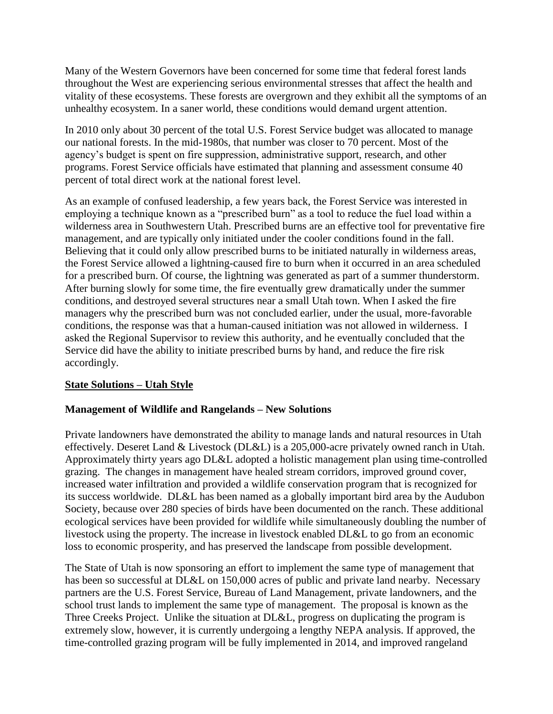Many of the Western Governors have been concerned for some time that federal forest lands throughout the West are experiencing serious environmental stresses that affect the health and vitality of these ecosystems. These forests are overgrown and they exhibit all the symptoms of an unhealthy ecosystem. In a saner world, these conditions would demand urgent attention.

In 2010 only about 30 percent of the total U.S. Forest Service budget was allocated to manage our national forests. In the mid-1980s, that number was closer to 70 percent. Most of the agency's budget is spent on fire suppression, administrative support, research, and other programs. Forest Service officials have estimated that planning and assessment consume 40 percent of total direct work at the national forest level.

As an example of confused leadership, a few years back, the Forest Service was interested in employing a technique known as a "prescribed burn" as a tool to reduce the fuel load within a wilderness area in Southwestern Utah. Prescribed burns are an effective tool for preventative fire management, and are typically only initiated under the cooler conditions found in the fall. Believing that it could only allow prescribed burns to be initiated naturally in wilderness areas, the Forest Service allowed a lightning-caused fire to burn when it occurred in an area scheduled for a prescribed burn. Of course, the lightning was generated as part of a summer thunderstorm. After burning slowly for some time, the fire eventually grew dramatically under the summer conditions, and destroyed several structures near a small Utah town. When I asked the fire managers why the prescribed burn was not concluded earlier, under the usual, more-favorable conditions, the response was that a human-caused initiation was not allowed in wilderness. I asked the Regional Supervisor to review this authority, and he eventually concluded that the Service did have the ability to initiate prescribed burns by hand, and reduce the fire risk accordingly.

## **State Solutions – Utah Style**

## **Management of Wildlife and Rangelands – New Solutions**

Private landowners have demonstrated the ability to manage lands and natural resources in Utah effectively. Deseret Land & Livestock (DL&L) is a 205,000-acre privately owned ranch in Utah. Approximately thirty years ago DL&L adopted a holistic management plan using time-controlled grazing. The changes in management have healed stream corridors, improved ground cover, increased water infiltration and provided a wildlife conservation program that is recognized for its success worldwide. DL&L has been named as a globally important bird area by the Audubon Society, because over 280 species of birds have been documented on the ranch. These additional ecological services have been provided for wildlife while simultaneously doubling the number of livestock using the property. The increase in livestock enabled DL&L to go from an economic loss to economic prosperity, and has preserved the landscape from possible development.

The State of Utah is now sponsoring an effort to implement the same type of management that has been so successful at DL&L on 150,000 acres of public and private land nearby. Necessary partners are the U.S. Forest Service, Bureau of Land Management, private landowners, and the school trust lands to implement the same type of management. The proposal is known as the Three Creeks Project. Unlike the situation at DL&L, progress on duplicating the program is extremely slow, however, it is currently undergoing a lengthy NEPA analysis. If approved, the time-controlled grazing program will be fully implemented in 2014, and improved rangeland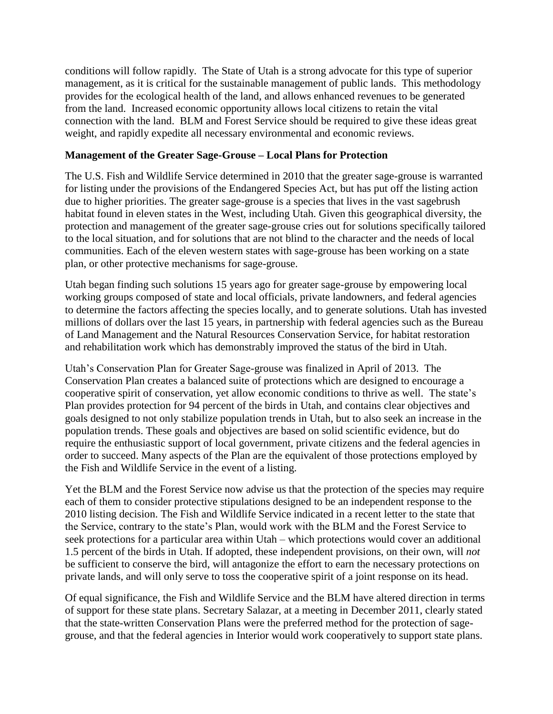conditions will follow rapidly. The State of Utah is a strong advocate for this type of superior management, as it is critical for the sustainable management of public lands. This methodology provides for the ecological health of the land, and allows enhanced revenues to be generated from the land. Increased economic opportunity allows local citizens to retain the vital connection with the land. BLM and Forest Service should be required to give these ideas great weight, and rapidly expedite all necessary environmental and economic reviews.

#### **Management of the Greater Sage-Grouse – Local Plans for Protection**

The U.S. Fish and Wildlife Service determined in 2010 that the greater sage-grouse is warranted for listing under the provisions of the Endangered Species Act, but has put off the listing action due to higher priorities. The greater sage-grouse is a species that lives in the vast sagebrush habitat found in eleven states in the West, including Utah. Given this geographical diversity, the protection and management of the greater sage-grouse cries out for solutions specifically tailored to the local situation, and for solutions that are not blind to the character and the needs of local communities. Each of the eleven western states with sage-grouse has been working on a state plan, or other protective mechanisms for sage-grouse.

Utah began finding such solutions 15 years ago for greater sage-grouse by empowering local working groups composed of state and local officials, private landowners, and federal agencies to determine the factors affecting the species locally, and to generate solutions. Utah has invested millions of dollars over the last 15 years, in partnership with federal agencies such as the Bureau of Land Management and the Natural Resources Conservation Service, for habitat restoration and rehabilitation work which has demonstrably improved the status of the bird in Utah.

Utah's Conservation Plan for Greater Sage-grouse was finalized in April of 2013. The Conservation Plan creates a balanced suite of protections which are designed to encourage a cooperative spirit of conservation, yet allow economic conditions to thrive as well. The state's Plan provides protection for 94 percent of the birds in Utah, and contains clear objectives and goals designed to not only stabilize population trends in Utah, but to also seek an increase in the population trends. These goals and objectives are based on solid scientific evidence, but do require the enthusiastic support of local government, private citizens and the federal agencies in order to succeed. Many aspects of the Plan are the equivalent of those protections employed by the Fish and Wildlife Service in the event of a listing.

Yet the BLM and the Forest Service now advise us that the protection of the species may require each of them to consider protective stipulations designed to be an independent response to the 2010 listing decision. The Fish and Wildlife Service indicated in a recent letter to the state that the Service, contrary to the state's Plan, would work with the BLM and the Forest Service to seek protections for a particular area within Utah – which protections would cover an additional 1.5 percent of the birds in Utah. If adopted, these independent provisions, on their own, will *not* be sufficient to conserve the bird, will antagonize the effort to earn the necessary protections on private lands, and will only serve to toss the cooperative spirit of a joint response on its head.

Of equal significance, the Fish and Wildlife Service and the BLM have altered direction in terms of support for these state plans. Secretary Salazar, at a meeting in December 2011, clearly stated that the state-written Conservation Plans were the preferred method for the protection of sagegrouse, and that the federal agencies in Interior would work cooperatively to support state plans.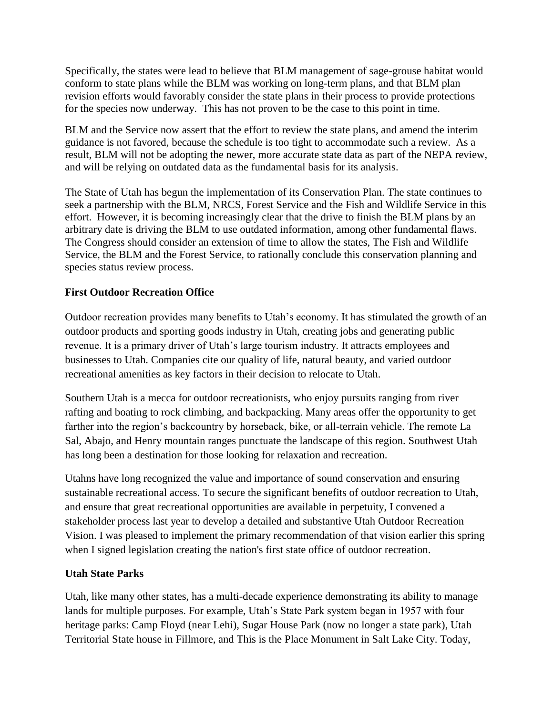Specifically, the states were lead to believe that BLM management of sage-grouse habitat would conform to state plans while the BLM was working on long-term plans, and that BLM plan revision efforts would favorably consider the state plans in their process to provide protections for the species now underway. This has not proven to be the case to this point in time.

BLM and the Service now assert that the effort to review the state plans, and amend the interim guidance is not favored, because the schedule is too tight to accommodate such a review. As a result, BLM will not be adopting the newer, more accurate state data as part of the NEPA review, and will be relying on outdated data as the fundamental basis for its analysis.

The State of Utah has begun the implementation of its Conservation Plan. The state continues to seek a partnership with the BLM, NRCS, Forest Service and the Fish and Wildlife Service in this effort. However, it is becoming increasingly clear that the drive to finish the BLM plans by an arbitrary date is driving the BLM to use outdated information, among other fundamental flaws. The Congress should consider an extension of time to allow the states, The Fish and Wildlife Service, the BLM and the Forest Service, to rationally conclude this conservation planning and species status review process.

## **First Outdoor Recreation Office**

Outdoor recreation provides many benefits to Utah's economy. It has stimulated the growth of an outdoor products and sporting goods industry in Utah, creating jobs and generating public revenue. It is a primary driver of Utah's large tourism industry. It attracts employees and businesses to Utah. Companies cite our quality of life, natural beauty, and varied outdoor recreational amenities as key factors in their decision to relocate to Utah.

Southern Utah is a mecca for outdoor recreationists, who enjoy pursuits ranging from river rafting and boating to rock climbing, and backpacking. Many areas offer the opportunity to get farther into the region's backcountry by horseback, bike, or all-terrain vehicle. The remote La Sal, Abajo, and Henry mountain ranges punctuate the landscape of this region. Southwest Utah has long been a destination for those looking for relaxation and recreation.

Utahns have long recognized the value and importance of sound conservation and ensuring sustainable recreational access. To secure the significant benefits of outdoor recreation to Utah, and ensure that great recreational opportunities are available in perpetuity, I convened a stakeholder process last year to develop a detailed and substantive Utah Outdoor Recreation Vision. I was pleased to implement the primary recommendation of that vision earlier this spring when I signed legislation creating the nation's first state office of outdoor recreation.

## **Utah State Parks**

Utah, like many other states, has a multi-decade experience demonstrating its ability to manage lands for multiple purposes. For example, Utah's State Park system began in 1957 with four heritage parks: Camp Floyd (near Lehi), Sugar House Park (now no longer a state park), Utah Territorial State house in Fillmore, and This is the Place Monument in Salt Lake City. Today,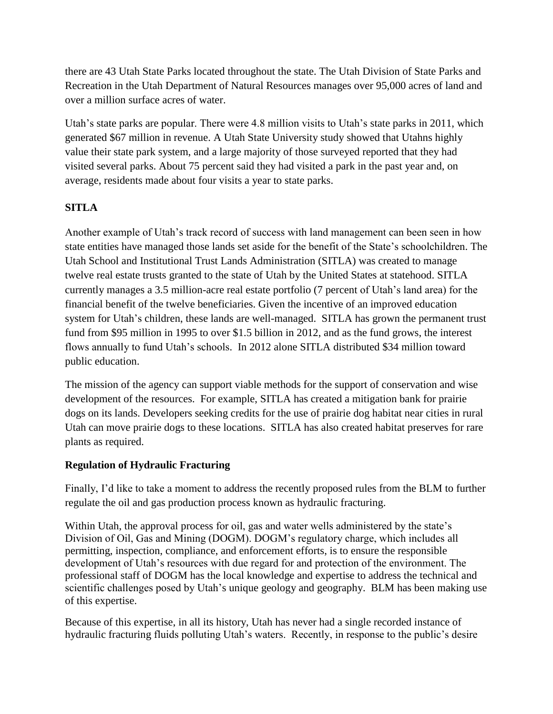there are 43 Utah State Parks located throughout the state. The Utah Division of State Parks and Recreation in the Utah Department of Natural Resources manages over 95,000 acres of land and over a million surface acres of water.

Utah's state parks are popular. There were 4.8 million visits to Utah's state parks in 2011, which generated \$67 million in revenue. A Utah State University study showed that Utahns highly value their state park system, and a large majority of those surveyed reported that they had visited several parks. About 75 percent said they had visited a park in the past year and, on average, residents made about four visits a year to state parks.

# **SITLA**

Another example of Utah's track record of success with land management can been seen in how state entities have managed those lands set aside for the benefit of the State's schoolchildren. The Utah School and Institutional Trust Lands Administration (SITLA) was created to manage twelve real estate trusts granted to the state of Utah by the United States at statehood. SITLA currently manages a 3.5 million-acre real estate portfolio (7 percent of Utah's land area) for the financial benefit of the twelve beneficiaries. Given the incentive of an improved education system for Utah's children, these lands are well-managed. SITLA has grown the permanent trust fund from \$95 million in 1995 to over \$1.5 billion in 2012, and as the fund grows, the interest flows annually to fund Utah's schools. In 2012 alone SITLA distributed \$34 million toward public education.

The mission of the agency can support viable methods for the support of conservation and wise development of the resources. For example, SITLA has created a mitigation bank for prairie dogs on its lands. Developers seeking credits for the use of prairie dog habitat near cities in rural Utah can move prairie dogs to these locations. SITLA has also created habitat preserves for rare plants as required.

## **Regulation of Hydraulic Fracturing**

Finally, I'd like to take a moment to address the recently proposed rules from the BLM to further regulate the oil and gas production process known as hydraulic fracturing.

Within Utah, the approval process for oil, gas and water wells administered by the state's Division of Oil, Gas and Mining (DOGM). DOGM's regulatory charge, which includes all permitting, inspection, compliance, and enforcement efforts, is to ensure the responsible development of Utah's resources with due regard for and protection of the environment. The professional staff of DOGM has the local knowledge and expertise to address the technical and scientific challenges posed by Utah's unique geology and geography. BLM has been making use of this expertise.

Because of this expertise, in all its history, Utah has never had a single recorded instance of hydraulic fracturing fluids polluting Utah's waters. Recently, in response to the public's desire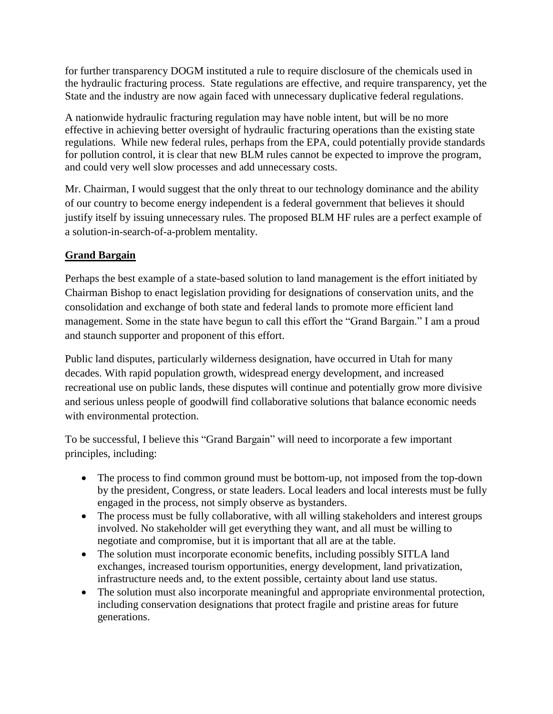for further transparency DOGM instituted a rule to require disclosure of the chemicals used in the hydraulic fracturing process. State regulations are effective, and require transparency, yet the State and the industry are now again faced with unnecessary duplicative federal regulations.

A nationwide hydraulic fracturing regulation may have noble intent, but will be no more effective in achieving better oversight of hydraulic fracturing operations than the existing state regulations. While new federal rules, perhaps from the EPA, could potentially provide standards for pollution control, it is clear that new BLM rules cannot be expected to improve the program, and could very well slow processes and add unnecessary costs.

Mr. Chairman, I would suggest that the only threat to our technology dominance and the ability of our country to become energy independent is a federal government that believes it should justify itself by issuing unnecessary rules. The proposed BLM HF rules are a perfect example of a solution-in-search-of-a-problem mentality.

# **Grand Bargain**

Perhaps the best example of a state-based solution to land management is the effort initiated by Chairman Bishop to enact legislation providing for designations of conservation units, and the consolidation and exchange of both state and federal lands to promote more efficient land management. Some in the state have begun to call this effort the "Grand Bargain." I am a proud and staunch supporter and proponent of this effort.

Public land disputes, particularly wilderness designation, have occurred in Utah for many decades. With rapid population growth, widespread energy development, and increased recreational use on public lands, these disputes will continue and potentially grow more divisive and serious unless people of goodwill find collaborative solutions that balance economic needs with environmental protection.

To be successful, I believe this "Grand Bargain" will need to incorporate a few important principles, including:

- The process to find common ground must be bottom-up, not imposed from the top-down by the president, Congress, or state leaders. Local leaders and local interests must be fully engaged in the process, not simply observe as bystanders.
- The process must be fully collaborative, with all willing stakeholders and interest groups involved. No stakeholder will get everything they want, and all must be willing to negotiate and compromise, but it is important that all are at the table.
- The solution must incorporate economic benefits, including possibly SITLA land exchanges, increased tourism opportunities, energy development, land privatization, infrastructure needs and, to the extent possible, certainty about land use status.
- The solution must also incorporate meaningful and appropriate environmental protection, including conservation designations that protect fragile and pristine areas for future generations.